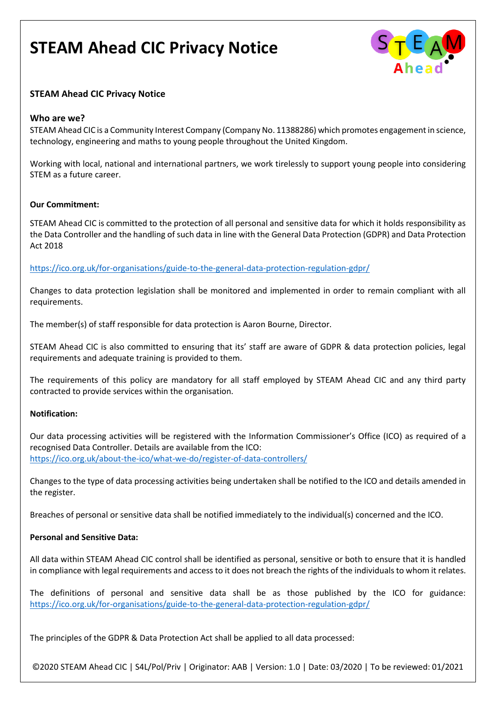

### **STEAM Ahead CIC Privacy Notice**

### **Who are we?**

STEAM Ahead CIC is a Community Interest Company (Company No. 11388286) which promotes engagement in science, technology, engineering and maths to young people throughout the United Kingdom.

Working with local, national and international partners, we work tirelessly to support young people into considering STEM as a future career.

#### **Our Commitment:**

STEAM Ahead CIC is committed to the protection of all personal and sensitive data for which it holds responsibility as the Data Controller and the handling of such data in line with the General Data Protection (GDPR) and Data Protection Act 2018

<https://ico.org.uk/for-organisations/guide-to-the-general-data-protection-regulation-gdpr/>

Changes to data protection legislation shall be monitored and implemented in order to remain compliant with all requirements.

The member(s) of staff responsible for data protection is Aaron Bourne, Director.

STEAM Ahead CIC is also committed to ensuring that its' staff are aware of GDPR & data protection policies, legal requirements and adequate training is provided to them.

The requirements of this policy are mandatory for all staff employed by STEAM Ahead CIC and any third party contracted to provide services within the organisation.

#### **Notification:**

Our data processing activities will be registered with the Information Commissioner's Office (ICO) as required of a recognised Data Controller. Details are available from the ICO: <https://ico.org.uk/about-the-ico/what-we-do/register-of-data-controllers/>

Changes to the type of data processing activities being undertaken shall be notified to the ICO and details amended in the register.

Breaches of personal or sensitive data shall be notified immediately to the individual(s) concerned and the ICO.

#### **Personal and Sensitive Data:**

All data within STEAM Ahead CIC control shall be identified as personal, sensitive or both to ensure that it is handled in compliance with legal requirements and access to it does not breach the rights of the individuals to whom it relates.

The definitions of personal and sensitive data shall be as those published by the ICO for guidance: <https://ico.org.uk/for-organisations/guide-to-the-general-data-protection-regulation-gdpr/>

The principles of the GDPR & Data Protection Act shall be applied to all data processed:

©2020 STEAM Ahead CIC | S4L/Pol/Priv | Originator: AAB | Version: 1.0 | Date: 03/2020 | To be reviewed: 01/2021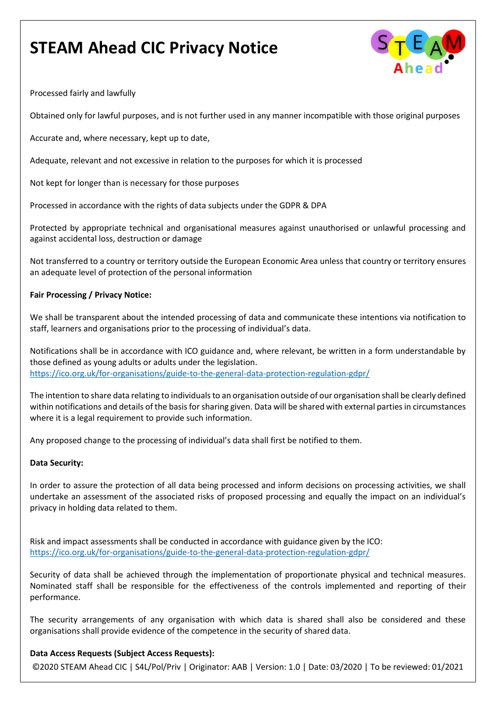

Processed fairly and lawfully

Obtained only for lawful purposes, and is not further used in any manner incompatible with those original purposes

Accurate and, where necessary, kept up to date,

Adequate, relevant and not excessive in relation to the purposes for which it is processed

Not kept for longer than is necessary for those purposes

Processed in accordance with the rights of data subjects under the GDPR & DPA

Protected by appropriate technical and organisational measures against unauthorised or unlawful processing and against accidental loss, destruction or damage

Not transferred to a country or territory outside the European Economic Area unless that country or territory ensures an adequate level of protection of the personal information

#### **Fair Processing / Privacy Notice:**

We shall be transparent about the intended processing of data and communicate these intentions via notification to staff, learners and organisations prior to the processing of individual's data.

Notifications shall be in accordance with ICO guidance and, where relevant, be written in a form understandable by those defined as young adults or adults under the legislation. <https://ico.org.uk/for-organisations/guide-to-the-general-data-protection-regulation-gdpr/>

The intention to share data relating to individuals to an organisation outside of our organisation shall be clearly defined within notifications and details of the basis for sharing given. Data will be shared with external parties in circumstances where it is a legal requirement to provide such information.

Any proposed change to the processing of individual's data shall first be notified to them.

#### **Data Security:**

In order to assure the protection of all data being processed and inform decisions on processing activities, we shall undertake an assessment of the associated risks of proposed processing and equally the impact on an individual's privacy in holding data related to them.

Risk and impact assessments shall be conducted in accordance with guidance given by the ICO: <https://ico.org.uk/for-organisations/guide-to-the-general-data-protection-regulation-gdpr/>

Security of data shall be achieved through the implementation of proportionate physical and technical measures. Nominated staff shall be responsible for the effectiveness of the controls implemented and reporting of their performance.

The security arrangements of any organisation with which data is shared shall also be considered and these organisations shall provide evidence of the competence in the security of shared data.

#### **Data Access Requests (Subject Access Requests):**

©2020 STEAM Ahead CIC | S4L/Pol/Priv | Originator: AAB | Version: 1.0 | Date: 03/2020 | To be reviewed: 01/2021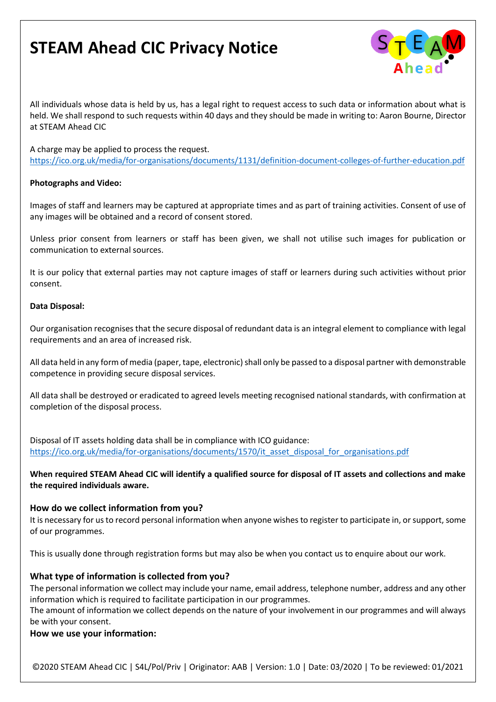

All individuals whose data is held by us, has a legal right to request access to such data or information about what is held. We shall respond to such requests within 40 days and they should be made in writing to: Aaron Bourne, Director at STEAM Ahead CIC

A charge may be applied to process the request. <https://ico.org.uk/media/for-organisations/documents/1131/definition-document-colleges-of-further-education.pdf>

#### **Photographs and Video:**

Images of staff and learners may be captured at appropriate times and as part of training activities. Consent of use of any images will be obtained and a record of consent stored.

Unless prior consent from learners or staff has been given, we shall not utilise such images for publication or communication to external sources.

It is our policy that external parties may not capture images of staff or learners during such activities without prior consent.

#### **Data Disposal:**

Our organisation recognises that the secure disposal of redundant data is an integral element to compliance with legal requirements and an area of increased risk.

All data held in any form of media (paper, tape, electronic) shall only be passed to a disposal partner with demonstrable competence in providing secure disposal services.

All data shall be destroyed or eradicated to agreed levels meeting recognised national standards, with confirmation at completion of the disposal process.

Disposal of IT assets holding data shall be in compliance with ICO guidance: [https://ico.org.uk/media/for-organisations/documents/1570/it\\_asset\\_disposal\\_for\\_organisations.pdf](https://ico.org.uk/media/for-organisations/documents/1570/it_asset_disposal_for_organisations.pdf)

### **When required STEAM Ahead CIC will identify a qualified source for disposal of IT assets and collections and make the required individuals aware.**

#### **How do we collect information from you?**

It is necessary for us to record personal information when anyone wishes to register to participate in, or support, some of our programmes.

This is usually done through registration forms but may also be when you contact us to enquire about our work.

### **What type of information is collected from you?**

The personal information we collect may include your name, email address, telephone number, address and any other information which is required to facilitate participation in our programmes.

The amount of information we collect depends on the nature of your involvement in our programmes and will always be with your consent.

#### **How we use your information:**

©2020 STEAM Ahead CIC | S4L/Pol/Priv | Originator: AAB | Version: 1.0 | Date: 03/2020 | To be reviewed: 01/2021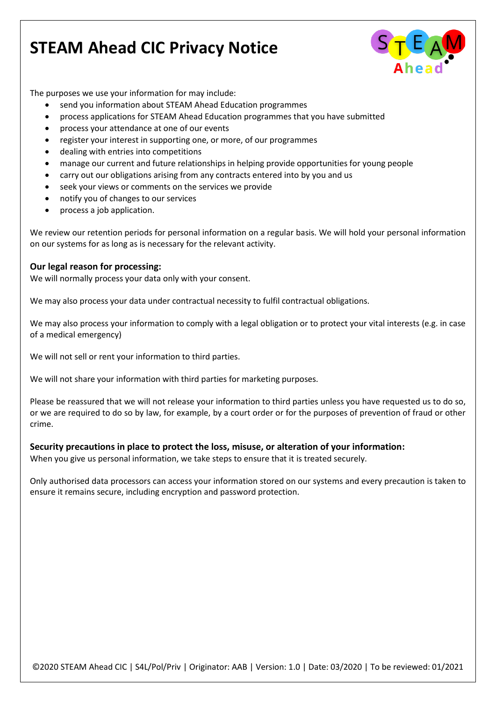

The purposes we use your information for may include:

- send you information about STEAM Ahead Education programmes
- process applications for STEAM Ahead Education programmes that you have submitted
- process your attendance at one of our events
- register your interest in supporting one, or more, of our programmes
- dealing with entries into competitions
- manage our current and future relationships in helping provide opportunities for young people
- carry out our obligations arising from any contracts entered into by you and us
- seek your views or comments on the services we provide
- notify you of changes to our services
- process a job application.

We review our retention periods for personal information on a regular basis. We will hold your personal information on our systems for as long as is necessary for the relevant activity.

### **Our legal reason for processing:**

We will normally process your data only with your consent.

We may also process your data under contractual necessity to fulfil contractual obligations.

We may also process your information to comply with a legal obligation or to protect your vital interests (e.g. in case of a medical emergency)

We will not sell or rent your information to third parties.

We will not share your information with third parties for marketing purposes.

Please be reassured that we will not release your information to third parties unless you have requested us to do so, or we are required to do so by law, for example, by a court order or for the purposes of prevention of fraud or other crime.

#### **Security precautions in place to protect the loss, misuse, or alteration of your information:**

When you give us personal information, we take steps to ensure that it is treated securely.

Only authorised data processors can access your information stored on our systems and every precaution is taken to ensure it remains secure, including encryption and password protection.